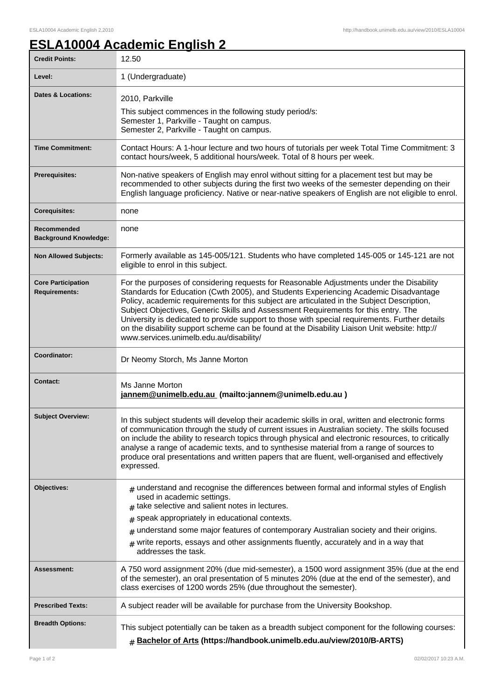٦

## **ESLA10004 Academic English 2**

| <b>Credit Points:</b>                             | 12.50                                                                                                                                                                                                                                                                                                                                                                                                                                                                                                                                                                                                              |
|---------------------------------------------------|--------------------------------------------------------------------------------------------------------------------------------------------------------------------------------------------------------------------------------------------------------------------------------------------------------------------------------------------------------------------------------------------------------------------------------------------------------------------------------------------------------------------------------------------------------------------------------------------------------------------|
| Level:                                            | 1 (Undergraduate)                                                                                                                                                                                                                                                                                                                                                                                                                                                                                                                                                                                                  |
| <b>Dates &amp; Locations:</b>                     | 2010, Parkville<br>This subject commences in the following study period/s:<br>Semester 1, Parkville - Taught on campus.<br>Semester 2, Parkville - Taught on campus.                                                                                                                                                                                                                                                                                                                                                                                                                                               |
| <b>Time Commitment:</b>                           | Contact Hours: A 1-hour lecture and two hours of tutorials per week Total Time Commitment: 3<br>contact hours/week, 5 additional hours/week. Total of 8 hours per week.                                                                                                                                                                                                                                                                                                                                                                                                                                            |
| <b>Prerequisites:</b>                             | Non-native speakers of English may enrol without sitting for a placement test but may be<br>recommended to other subjects during the first two weeks of the semester depending on their<br>English language proficiency. Native or near-native speakers of English are not eligible to enrol.                                                                                                                                                                                                                                                                                                                      |
| <b>Corequisites:</b>                              | none                                                                                                                                                                                                                                                                                                                                                                                                                                                                                                                                                                                                               |
| Recommended<br><b>Background Knowledge:</b>       | none                                                                                                                                                                                                                                                                                                                                                                                                                                                                                                                                                                                                               |
| <b>Non Allowed Subjects:</b>                      | Formerly available as 145-005/121. Students who have completed 145-005 or 145-121 are not<br>eligible to enrol in this subject.                                                                                                                                                                                                                                                                                                                                                                                                                                                                                    |
| <b>Core Participation</b><br><b>Requirements:</b> | For the purposes of considering requests for Reasonable Adjustments under the Disability<br>Standards for Education (Cwth 2005), and Students Experiencing Academic Disadvantage<br>Policy, academic requirements for this subject are articulated in the Subject Description,<br>Subject Objectives, Generic Skills and Assessment Requirements for this entry. The<br>University is dedicated to provide support to those with special requirements. Further details<br>on the disability support scheme can be found at the Disability Liaison Unit website: http://<br>www.services.unimelb.edu.au/disability/ |
| Coordinator:                                      | Dr Neomy Storch, Ms Janne Morton                                                                                                                                                                                                                                                                                                                                                                                                                                                                                                                                                                                   |
| Contact:                                          | Ms Janne Morton<br>jannem@unimelb.edu.au (mailto:jannem@unimelb.edu.au)                                                                                                                                                                                                                                                                                                                                                                                                                                                                                                                                            |
| <b>Subject Overview:</b>                          | In this subject students will develop their academic skills in oral, written and electronic forms<br>of communication through the study of current issues in Australian society. The skills focused<br>on include the ability to research topics through physical and electronic resources, to critically<br>analyse a range of academic texts, and to synthesise material from a range of sources to<br>produce oral presentations and written papers that are fluent, well-organised and effectively<br>expressed.                                                                                               |
| Objectives:                                       | $#$ understand and recognise the differences between formal and informal styles of English<br>used in academic settings.<br>$#$ take selective and salient notes in lectures.<br>speak appropriately in educational contexts.<br>#<br>understand some major features of contemporary Australian society and their origins.<br>#<br>$*$ write reports, essays and other assignments fluently, accurately and in a way that<br>addresses the task.                                                                                                                                                                   |
| Assessment:                                       | A 750 word assignment 20% (due mid-semester), a 1500 word assignment 35% (due at the end<br>of the semester), an oral presentation of 5 minutes 20% (due at the end of the semester), and<br>class exercises of 1200 words 25% (due throughout the semester).                                                                                                                                                                                                                                                                                                                                                      |
| <b>Prescribed Texts:</b>                          | A subject reader will be available for purchase from the University Bookshop.                                                                                                                                                                                                                                                                                                                                                                                                                                                                                                                                      |
| <b>Breadth Options:</b>                           | This subject potentially can be taken as a breadth subject component for the following courses:<br># Bachelor of Arts (https://handbook.unimelb.edu.au/view/2010/B-ARTS)                                                                                                                                                                                                                                                                                                                                                                                                                                           |